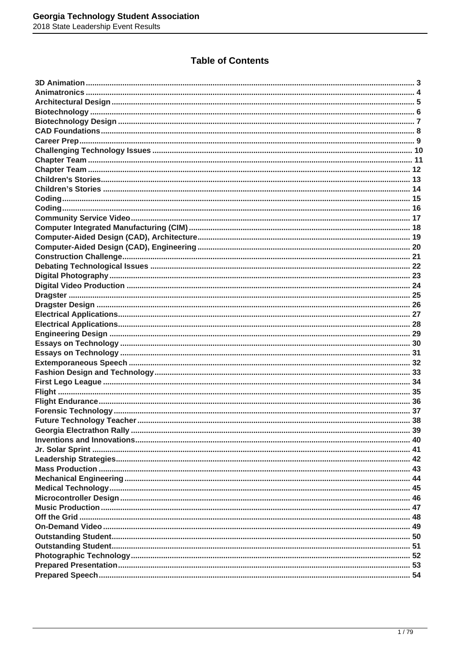### **Table of Contents**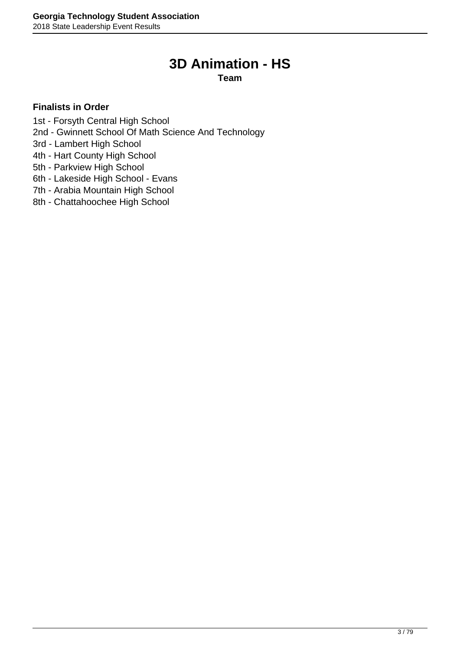## **3D Animation - HS**

**Team**

- <span id="page-2-0"></span>1st - Forsyth Central High School
- 2nd Gwinnett School Of Math Science And Technology
- 3rd Lambert High School
- 4th Hart County High School
- 5th Parkview High School
- 6th Lakeside High School Evans
- 7th Arabia Mountain High School
- 8th Chattahoochee High School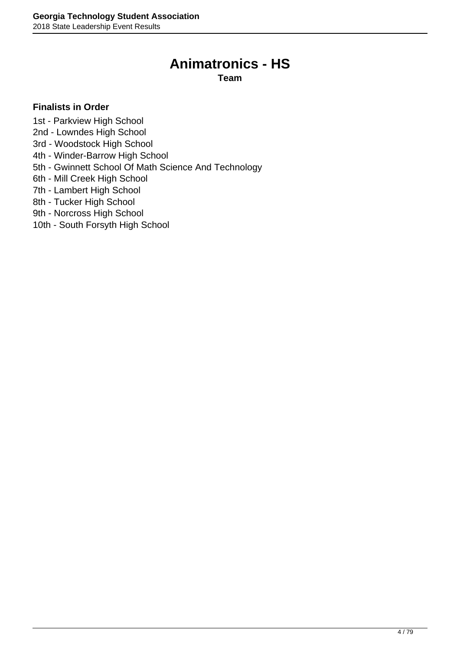### **Animatronics - HS**

**Team**

### <span id="page-3-0"></span>**Finalists in Order**

1st - Parkview High School

- 2nd Lowndes High School
- 3rd Woodstock High School
- 4th Winder-Barrow High School
- 5th Gwinnett School Of Math Science And Technology
- 6th Mill Creek High School
- 7th Lambert High School
- 8th Tucker High School
- 9th Norcross High School
- 10th South Forsyth High School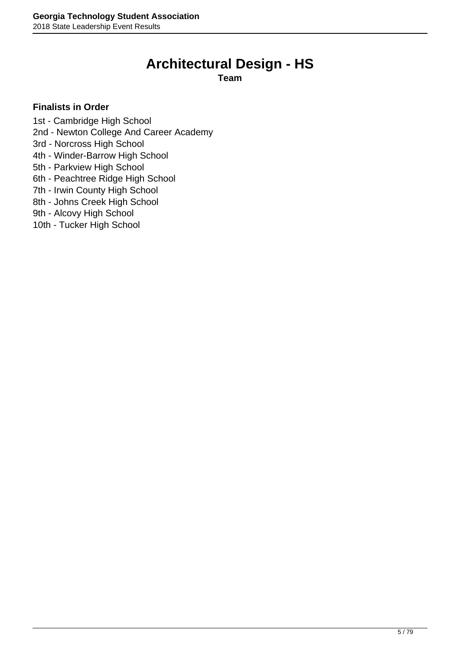### **Architectural Design - HS**

### **Team**

#### <span id="page-4-0"></span>**Finalists in Order**

1st - Cambridge High School

2nd - Newton College And Career Academy

3rd - Norcross High School

4th - Winder-Barrow High School

5th - Parkview High School

6th - Peachtree Ridge High School

7th - Irwin County High School

8th - Johns Creek High School

9th - Alcovy High School

10th - Tucker High School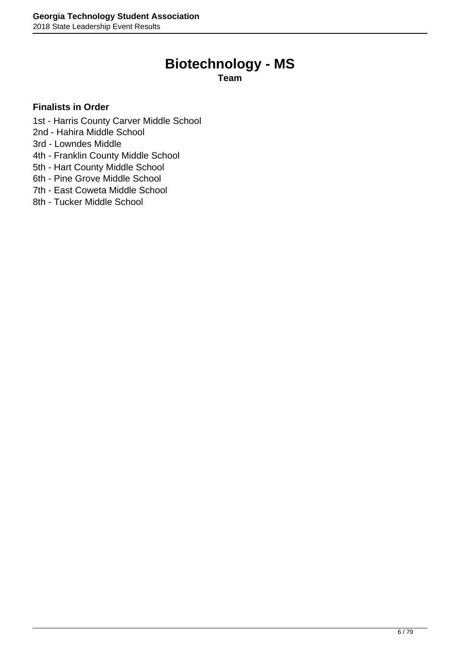### **Biotechnology - MS**

**Team**

- <span id="page-5-0"></span>1st - Harris County Carver Middle School
- 2nd Hahira Middle School
- 3rd Lowndes Middle
- 4th Franklin County Middle School
- 5th Hart County Middle School
- 6th Pine Grove Middle School
- 7th East Coweta Middle School
- 8th Tucker Middle School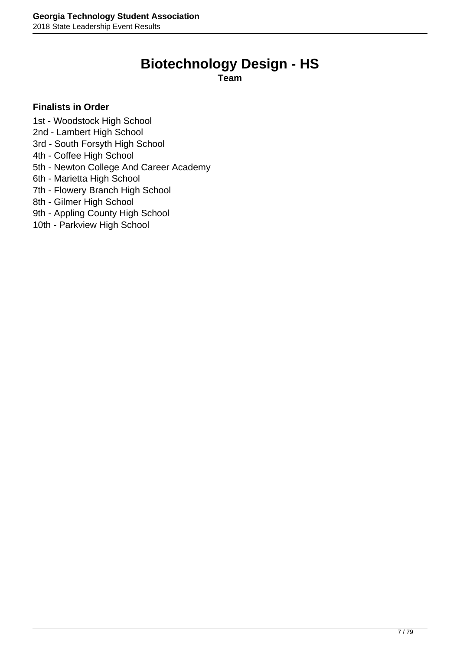### **Biotechnology Design - HS**

**Team**

### <span id="page-6-0"></span>**Finalists in Order**

1st - Woodstock High School

- 2nd Lambert High School
- 3rd South Forsyth High School
- 4th Coffee High School
- 5th Newton College And Career Academy
- 6th Marietta High School
- 7th Flowery Branch High School
- 8th Gilmer High School
- 9th Appling County High School
- 10th Parkview High School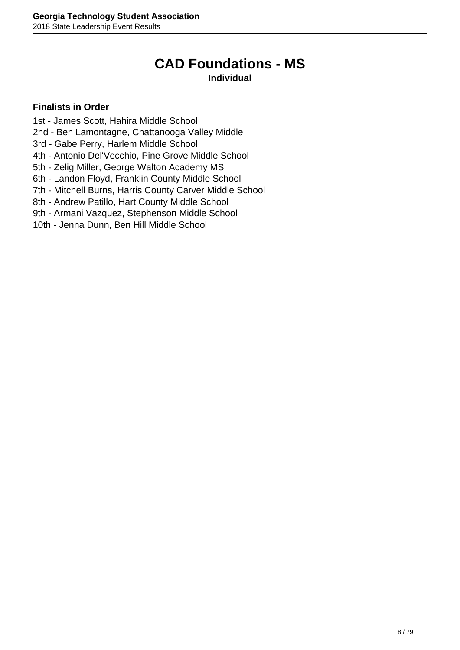### **CAD Foundations - MS Individual**

- <span id="page-7-0"></span>1st - James Scott, Hahira Middle School
- 2nd Ben Lamontagne, Chattanooga Valley Middle
- 3rd Gabe Perry, Harlem Middle School
- 4th Antonio Del'Vecchio, Pine Grove Middle School
- 5th Zelig Miller, George Walton Academy MS
- 6th Landon Floyd, Franklin County Middle School
- 7th Mitchell Burns, Harris County Carver Middle School
- 8th Andrew Patillo, Hart County Middle School
- 9th Armani Vazquez, Stephenson Middle School
- 10th Jenna Dunn, Ben Hill Middle School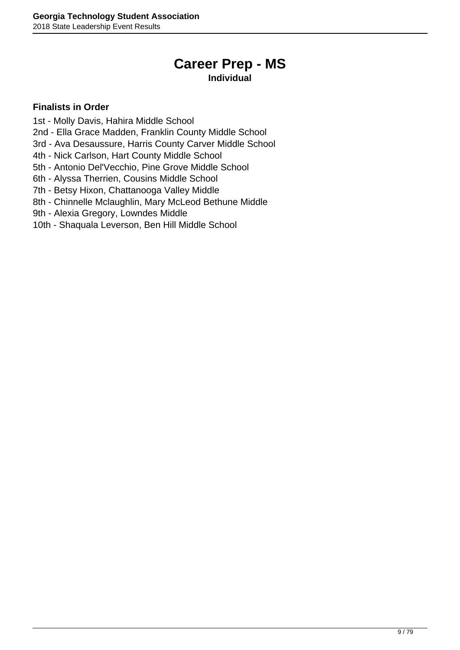## **Career Prep - MS**

### **Individual**

- <span id="page-8-0"></span>1st - Molly Davis, Hahira Middle School
- 2nd Ella Grace Madden, Franklin County Middle School
- 3rd Ava Desaussure, Harris County Carver Middle School
- 4th Nick Carlson, Hart County Middle School
- 5th Antonio Del'Vecchio, Pine Grove Middle School
- 6th Alyssa Therrien, Cousins Middle School
- 7th Betsy Hixon, Chattanooga Valley Middle
- 8th Chinnelle Mclaughlin, Mary McLeod Bethune Middle
- 9th Alexia Gregory, Lowndes Middle
- 10th Shaquala Leverson, Ben Hill Middle School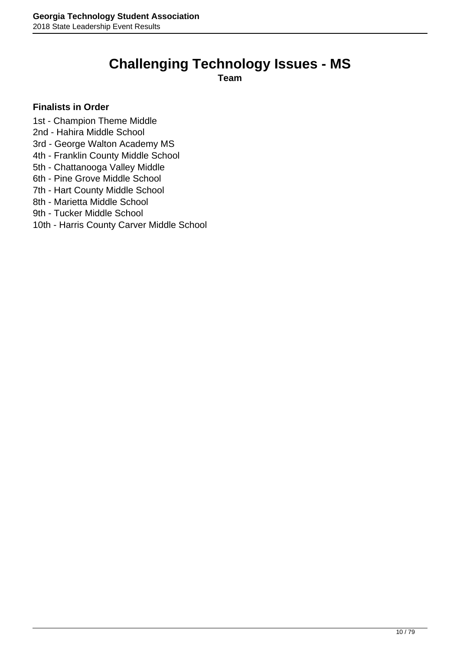## **Challenging Technology Issues - MS**

**Team**

- <span id="page-9-0"></span>1st - Champion Theme Middle
- 2nd Hahira Middle School
- 3rd George Walton Academy MS
- 4th Franklin County Middle School
- 5th Chattanooga Valley Middle
- 6th Pine Grove Middle School
- 7th Hart County Middle School
- 8th Marietta Middle School
- 9th Tucker Middle School
- 10th Harris County Carver Middle School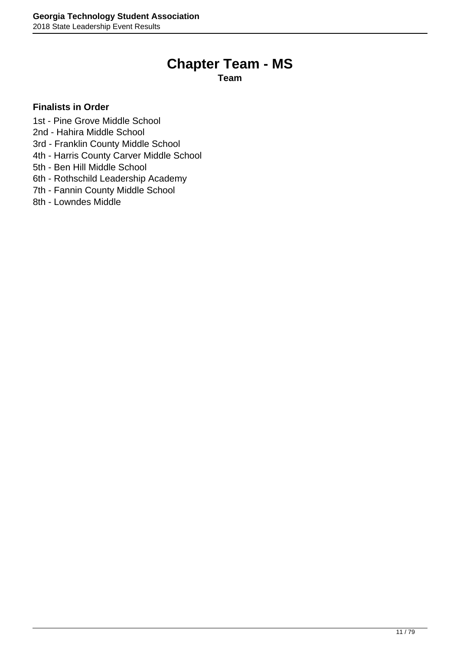### **Chapter Team - MS**

**Team**

- <span id="page-10-0"></span>1st - Pine Grove Middle School
- 2nd Hahira Middle School
- 3rd Franklin County Middle School
- 4th Harris County Carver Middle School
- 5th Ben Hill Middle School
- 6th Rothschild Leadership Academy
- 7th Fannin County Middle School
- 8th Lowndes Middle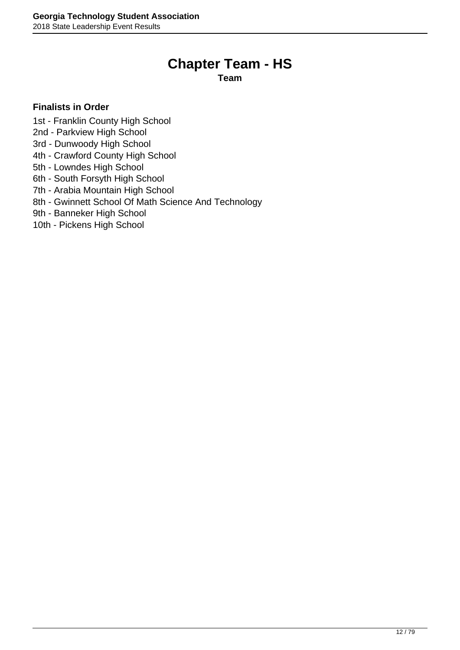### **Chapter Team - HS**

**Team**

- <span id="page-11-0"></span>1st - Franklin County High School
- 2nd Parkview High School
- 3rd Dunwoody High School
- 4th Crawford County High School
- 5th Lowndes High School
- 6th South Forsyth High School
- 7th Arabia Mountain High School
- 8th Gwinnett School Of Math Science And Technology
- 9th Banneker High School
- 10th Pickens High School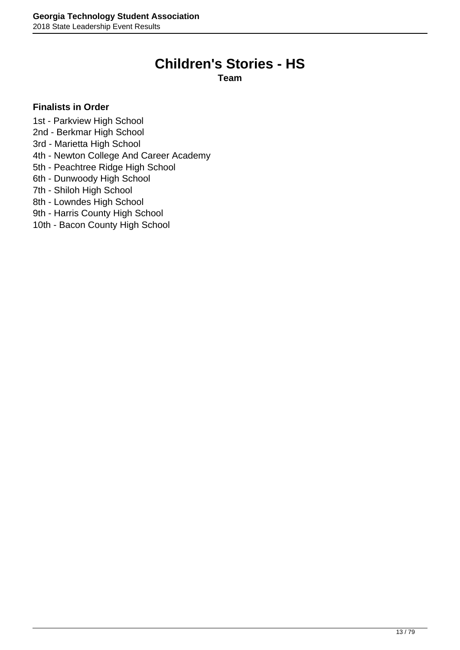### **Children's Stories - HS**

**Team**

### <span id="page-12-0"></span>**Finalists in Order**

1st - Parkview High School

- 2nd Berkmar High School
- 3rd Marietta High School
- 4th Newton College And Career Academy
- 5th Peachtree Ridge High School
- 6th Dunwoody High School
- 7th Shiloh High School
- 8th Lowndes High School

9th - Harris County High School

10th - Bacon County High School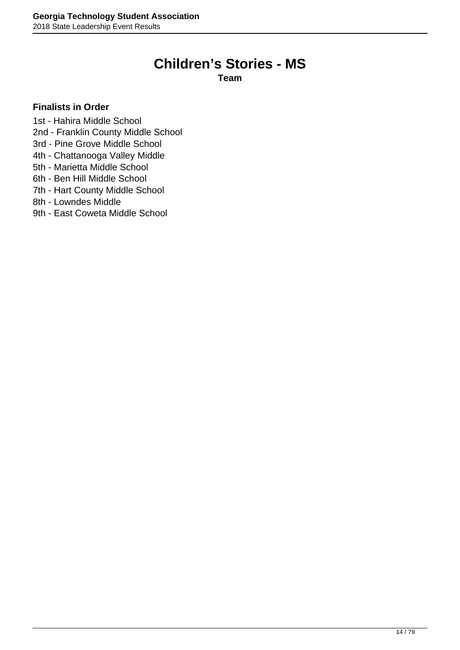### **Children's Stories - MS**

**Team**

- <span id="page-13-0"></span>1st - Hahira Middle School
- 2nd Franklin County Middle School
- 3rd Pine Grove Middle School
- 4th Chattanooga Valley Middle
- 5th Marietta Middle School
- 6th Ben Hill Middle School
- 7th Hart County Middle School
- 8th Lowndes Middle
- 9th East Coweta Middle School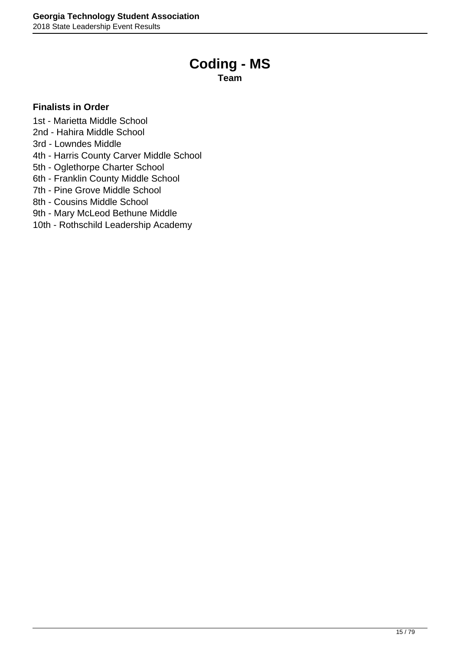### **Coding - MS**

**Team**

- <span id="page-14-0"></span>1st - Marietta Middle School
- 2nd Hahira Middle School
- 3rd Lowndes Middle
- 4th Harris County Carver Middle School
- 5th Oglethorpe Charter School
- 6th Franklin County Middle School
- 7th Pine Grove Middle School
- 8th Cousins Middle School
- 9th Mary McLeod Bethune Middle
- 10th Rothschild Leadership Academy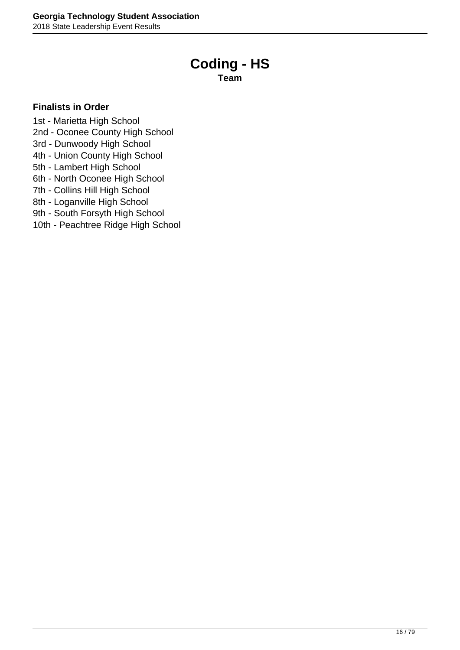### **Coding - HS**

**Team**

### <span id="page-15-0"></span>**Finalists in Order**

1st - Marietta High School

2nd - Oconee County High School

3rd - Dunwoody High School

4th - Union County High School

5th - Lambert High School

6th - North Oconee High School

7th - Collins Hill High School

8th - Loganville High School

9th - South Forsyth High School

10th - Peachtree Ridge High School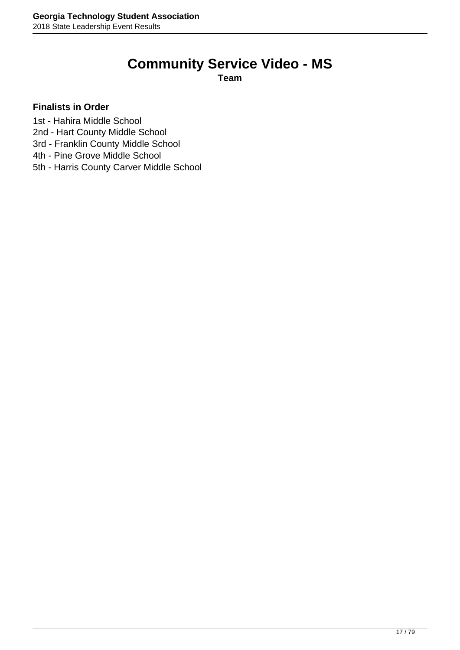# **Community Service Video - MS**

**Team**

- <span id="page-16-0"></span>1st - Hahira Middle School
- 2nd Hart County Middle School
- 3rd Franklin County Middle School
- 4th Pine Grove Middle School
- 5th Harris County Carver Middle School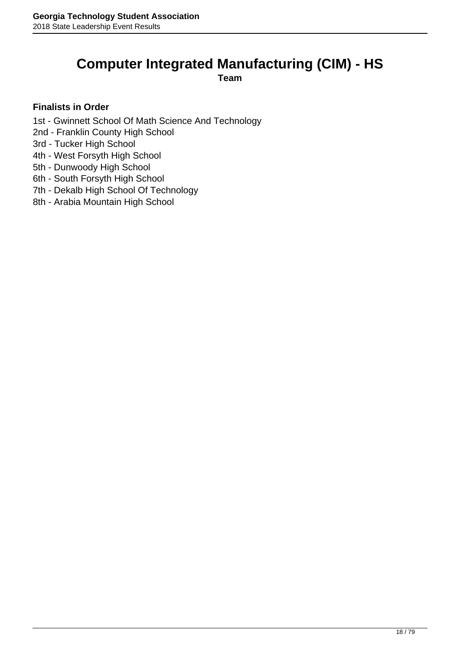## <span id="page-17-0"></span>**Computer Integrated Manufacturing (CIM) - HS**

**Team**

- 1st Gwinnett School Of Math Science And Technology
- 2nd Franklin County High School
- 3rd Tucker High School
- 4th West Forsyth High School
- 5th Dunwoody High School
- 6th South Forsyth High School
- 7th Dekalb High School Of Technology
- 8th Arabia Mountain High School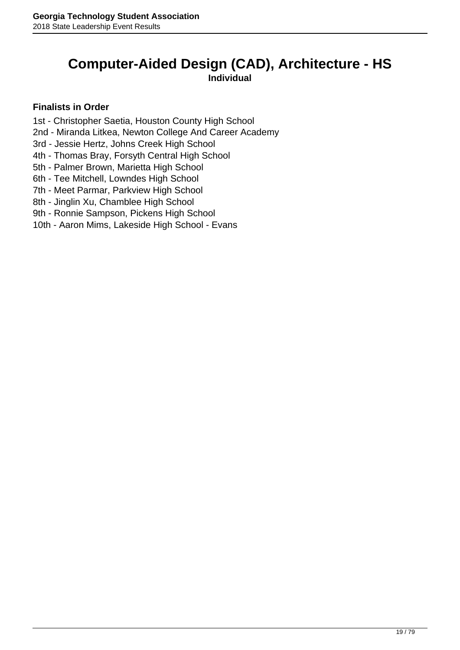### <span id="page-18-0"></span>**Computer-Aided Design (CAD), Architecture - HS Individual**

- 1st Christopher Saetia, Houston County High School
- 2nd Miranda Litkea, Newton College And Career Academy
- 3rd Jessie Hertz, Johns Creek High School
- 4th Thomas Bray, Forsyth Central High School
- 5th Palmer Brown, Marietta High School
- 6th Tee Mitchell, Lowndes High School
- 7th Meet Parmar, Parkview High School
- 8th Jinglin Xu, Chamblee High School
- 9th Ronnie Sampson, Pickens High School
- 10th Aaron Mims, Lakeside High School Evans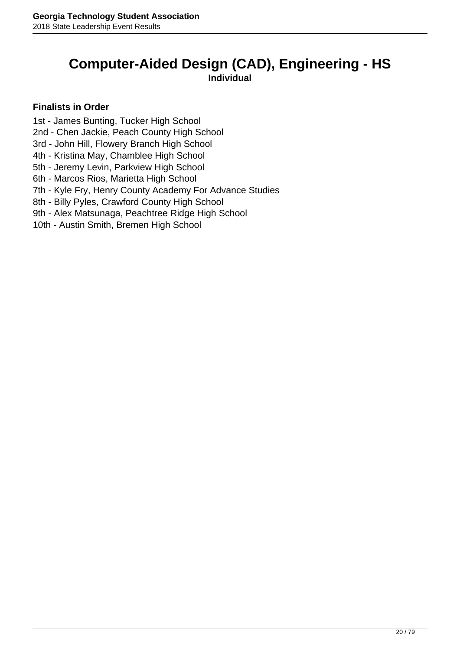### <span id="page-19-0"></span>**Computer-Aided Design (CAD), Engineering - HS Individual**

- 1st James Bunting, Tucker High School
- 2nd Chen Jackie, Peach County High School
- 3rd John Hill, Flowery Branch High School
- 4th Kristina May, Chamblee High School
- 5th Jeremy Levin, Parkview High School
- 6th Marcos Rios, Marietta High School
- 7th Kyle Fry, Henry County Academy For Advance Studies
- 8th Billy Pyles, Crawford County High School
- 9th Alex Matsunaga, Peachtree Ridge High School
- 10th Austin Smith, Bremen High School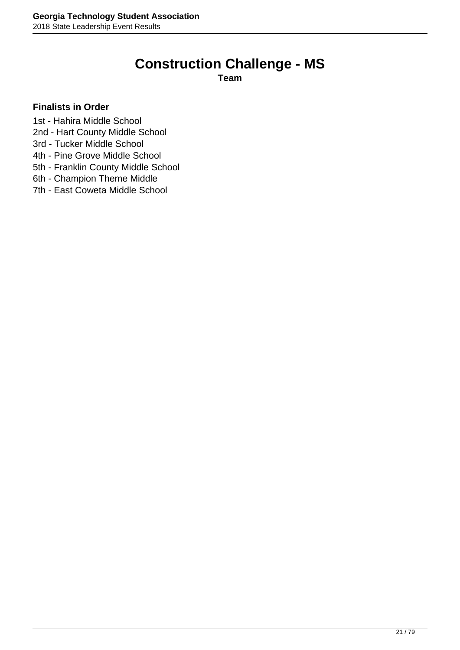## **Construction Challenge - MS**

**Team**

- <span id="page-20-0"></span>1st - Hahira Middle School
- 2nd Hart County Middle School
- 3rd Tucker Middle School
- 4th Pine Grove Middle School
- 5th Franklin County Middle School
- 6th Champion Theme Middle
- 7th East Coweta Middle School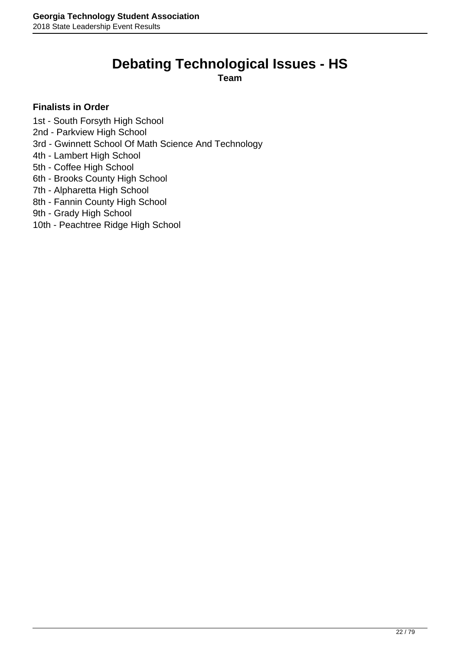## **Debating Technological Issues - HS**

**Team**

- <span id="page-21-0"></span>1st - South Forsyth High School
- 2nd Parkview High School
- 3rd Gwinnett School Of Math Science And Technology
- 4th Lambert High School
- 5th Coffee High School
- 6th Brooks County High School
- 7th Alpharetta High School
- 8th Fannin County High School
- 9th Grady High School
- 10th Peachtree Ridge High School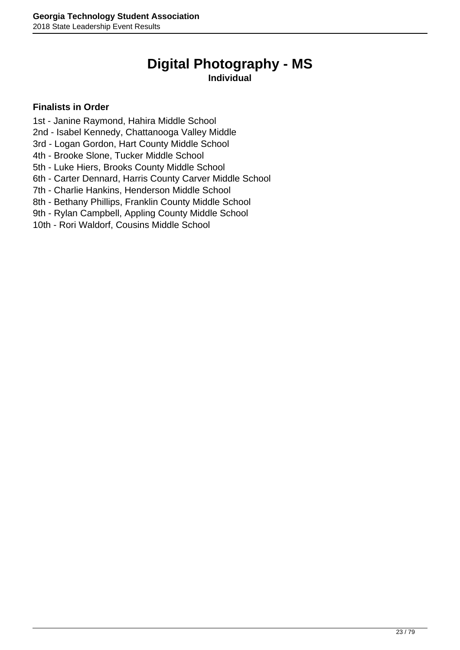## **Digital Photography - MS**

### **Individual**

- <span id="page-22-0"></span>1st - Janine Raymond, Hahira Middle School
- 2nd Isabel Kennedy, Chattanooga Valley Middle
- 3rd Logan Gordon, Hart County Middle School
- 4th Brooke Slone, Tucker Middle School
- 5th Luke Hiers, Brooks County Middle School
- 6th Carter Dennard, Harris County Carver Middle School
- 7th Charlie Hankins, Henderson Middle School
- 8th Bethany Phillips, Franklin County Middle School
- 9th Rylan Campbell, Appling County Middle School
- 10th Rori Waldorf, Cousins Middle School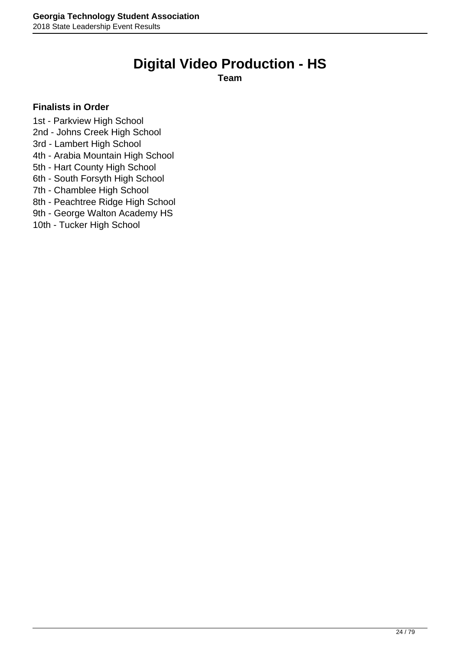### **Digital Video Production - HS**

**Team**

### <span id="page-23-0"></span>**Finalists in Order**

1st - Parkview High School

2nd - Johns Creek High School

3rd - Lambert High School

4th - Arabia Mountain High School

5th - Hart County High School

6th - South Forsyth High School

7th - Chamblee High School

8th - Peachtree Ridge High School

9th - George Walton Academy HS

10th - Tucker High School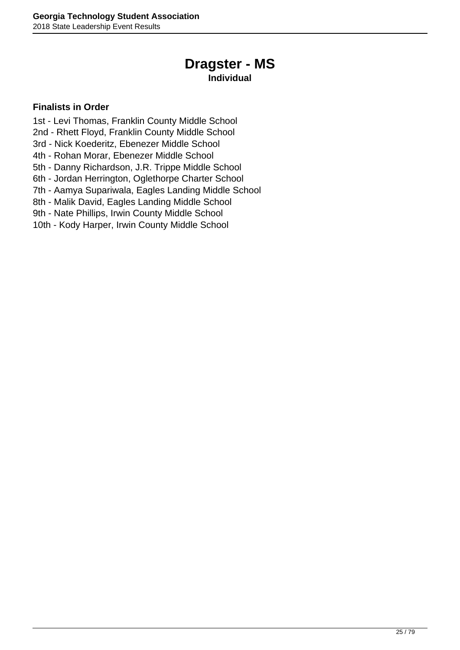## **Dragster - MS**

### **Individual**

- <span id="page-24-0"></span>1st - Levi Thomas, Franklin County Middle School
- 2nd Rhett Floyd, Franklin County Middle School
- 3rd Nick Koederitz, Ebenezer Middle School
- 4th Rohan Morar, Ebenezer Middle School
- 5th Danny Richardson, J.R. Trippe Middle School
- 6th Jordan Herrington, Oglethorpe Charter School
- 7th Aamya Supariwala, Eagles Landing Middle School
- 8th Malik David, Eagles Landing Middle School
- 9th Nate Phillips, Irwin County Middle School
- 10th Kody Harper, Irwin County Middle School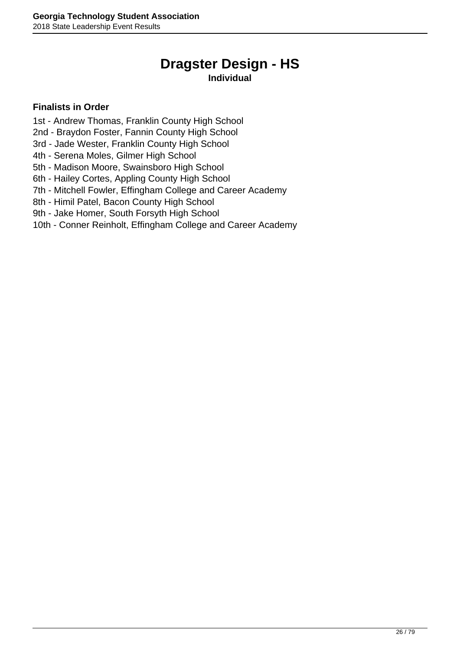## **Dragster Design - HS**

### **Individual**

- <span id="page-25-0"></span>1st - Andrew Thomas, Franklin County High School
- 2nd Braydon Foster, Fannin County High School
- 3rd Jade Wester, Franklin County High School
- 4th Serena Moles, Gilmer High School
- 5th Madison Moore, Swainsboro High School
- 6th Hailey Cortes, Appling County High School
- 7th Mitchell Fowler, Effingham College and Career Academy
- 8th Himil Patel, Bacon County High School
- 9th Jake Homer, South Forsyth High School
- 10th Conner Reinholt, Effingham College and Career Academy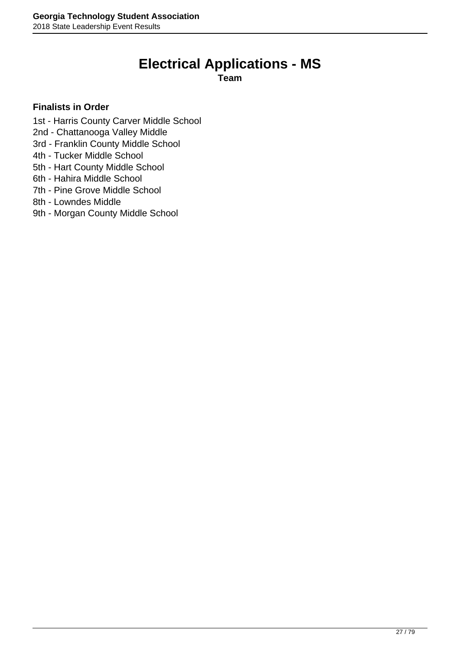## **Electrical Applications - MS**

**Team**

- <span id="page-26-0"></span>1st - Harris County Carver Middle School
- 2nd Chattanooga Valley Middle
- 3rd Franklin County Middle School
- 4th Tucker Middle School
- 5th Hart County Middle School
- 6th Hahira Middle School
- 7th Pine Grove Middle School
- 8th Lowndes Middle
- 9th Morgan County Middle School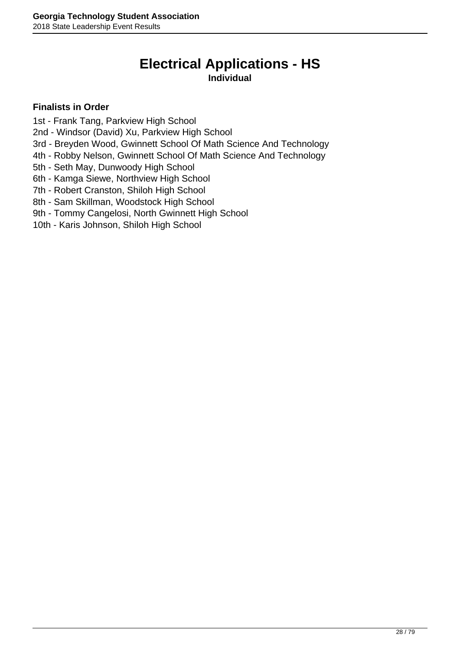### **Electrical Applications - HS Individual**

- <span id="page-27-0"></span>1st - Frank Tang, Parkview High School
- 2nd Windsor (David) Xu, Parkview High School
- 3rd Breyden Wood, Gwinnett School Of Math Science And Technology
- 4th Robby Nelson, Gwinnett School Of Math Science And Technology
- 5th Seth May, Dunwoody High School
- 6th Kamga Siewe, Northview High School
- 7th Robert Cranston, Shiloh High School
- 8th Sam Skillman, Woodstock High School
- 9th Tommy Cangelosi, North Gwinnett High School
- 10th Karis Johnson, Shiloh High School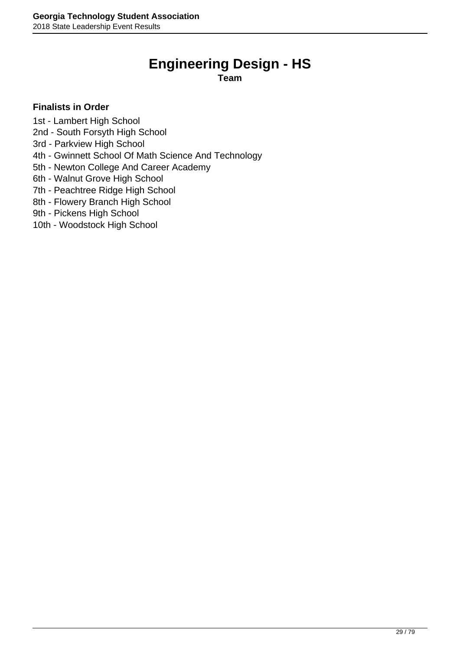## **Engineering Design - HS**

**Team**

- <span id="page-28-0"></span>1st - Lambert High School
- 2nd South Forsyth High School
- 3rd Parkview High School
- 4th Gwinnett School Of Math Science And Technology
- 5th Newton College And Career Academy
- 6th Walnut Grove High School
- 7th Peachtree Ridge High School
- 8th Flowery Branch High School
- 9th Pickens High School
- 10th Woodstock High School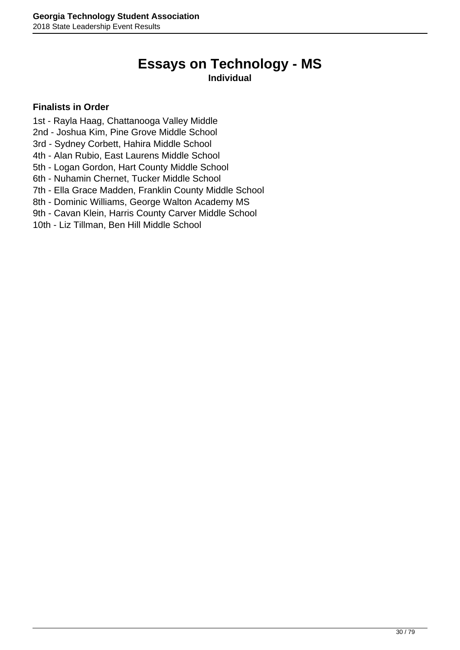## **Essays on Technology - MS**

### **Individual**

- <span id="page-29-0"></span>1st - Rayla Haag, Chattanooga Valley Middle
- 2nd Joshua Kim, Pine Grove Middle School
- 3rd Sydney Corbett, Hahira Middle School
- 4th Alan Rubio, East Laurens Middle School
- 5th Logan Gordon, Hart County Middle School
- 6th Nuhamin Chernet, Tucker Middle School
- 7th Ella Grace Madden, Franklin County Middle School
- 8th Dominic Williams, George Walton Academy MS
- 9th Cavan Klein, Harris County Carver Middle School
- 10th Liz Tillman, Ben Hill Middle School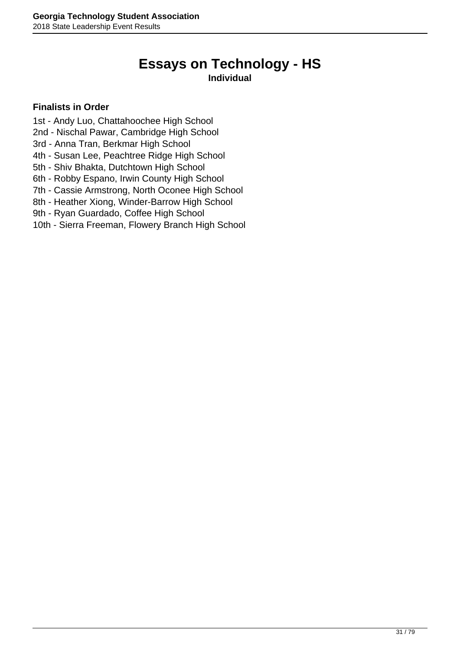## **Essays on Technology - HS**

### **Individual**

- <span id="page-30-0"></span>1st - Andy Luo, Chattahoochee High School
- 2nd Nischal Pawar, Cambridge High School
- 3rd Anna Tran, Berkmar High School
- 4th Susan Lee, Peachtree Ridge High School
- 5th Shiv Bhakta, Dutchtown High School
- 6th Robby Espano, Irwin County High School
- 7th Cassie Armstrong, North Oconee High School
- 8th Heather Xiong, Winder-Barrow High School
- 9th Ryan Guardado, Coffee High School
- 10th Sierra Freeman, Flowery Branch High School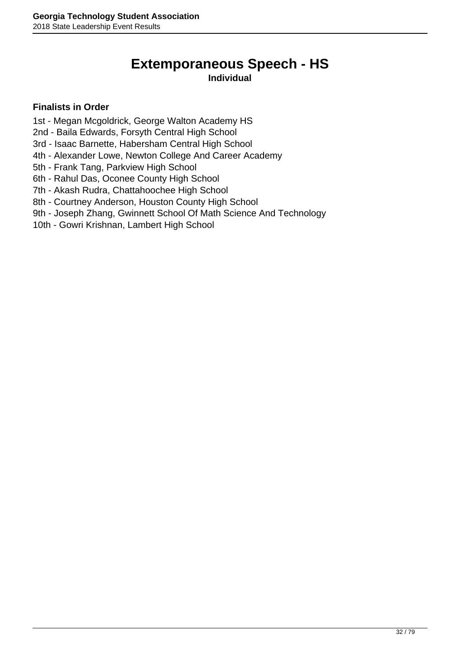# **Extemporaneous Speech - HS**

### **Individual**

- <span id="page-31-0"></span>1st - Megan Mcgoldrick, George Walton Academy HS
- 2nd Baila Edwards, Forsyth Central High School
- 3rd Isaac Barnette, Habersham Central High School
- 4th Alexander Lowe, Newton College And Career Academy
- 5th Frank Tang, Parkview High School
- 6th Rahul Das, Oconee County High School
- 7th Akash Rudra, Chattahoochee High School
- 8th Courtney Anderson, Houston County High School
- 9th Joseph Zhang, Gwinnett School Of Math Science And Technology
- 10th Gowri Krishnan, Lambert High School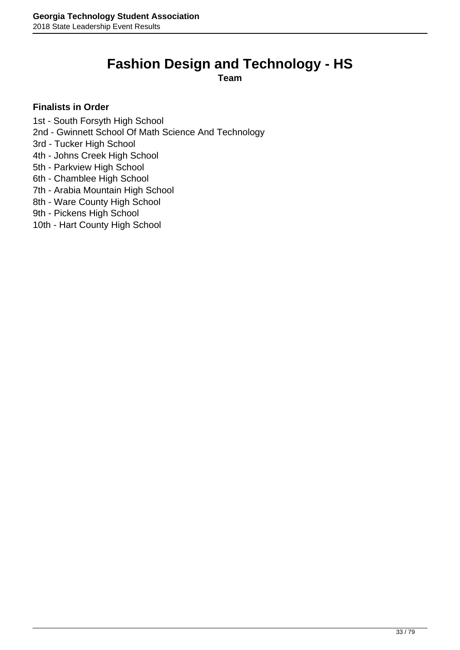### <span id="page-32-0"></span>**Fashion Design and Technology - HS**

**Team**

- 1st South Forsyth High School
- 2nd Gwinnett School Of Math Science And Technology
- 3rd Tucker High School
- 4th Johns Creek High School
- 5th Parkview High School
- 6th Chamblee High School
- 7th Arabia Mountain High School
- 8th Ware County High School
- 9th Pickens High School
- 10th Hart County High School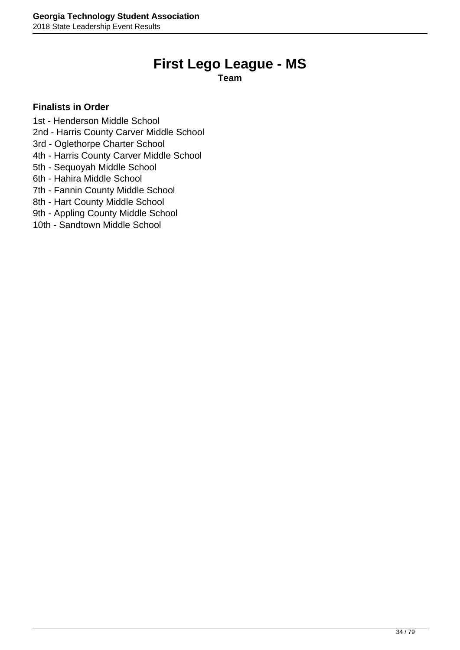## **First Lego League - MS**

**Team**

- <span id="page-33-0"></span>1st - Henderson Middle School
- 2nd Harris County Carver Middle School
- 3rd Oglethorpe Charter School
- 4th Harris County Carver Middle School
- 5th Sequoyah Middle School
- 6th Hahira Middle School
- 7th Fannin County Middle School
- 8th Hart County Middle School
- 9th Appling County Middle School
- 10th Sandtown Middle School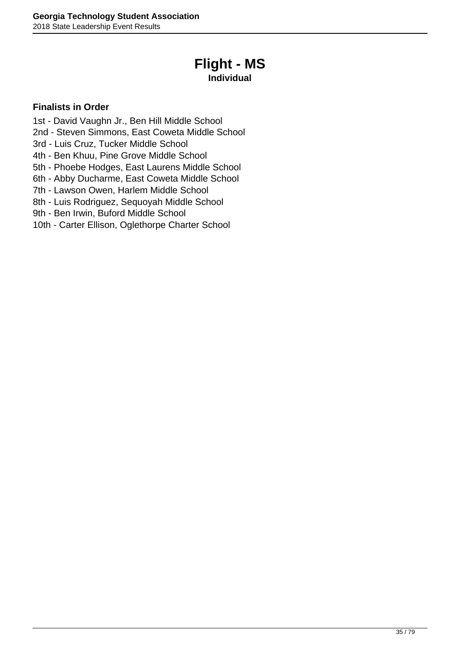## **Flight - MS**

### **Individual**

- <span id="page-34-0"></span>1st - David Vaughn Jr., Ben Hill Middle School
- 2nd Steven Simmons, East Coweta Middle School
- 3rd Luis Cruz, Tucker Middle School
- 4th Ben Khuu, Pine Grove Middle School
- 5th Phoebe Hodges, East Laurens Middle School
- 6th Abby Ducharme, East Coweta Middle School
- 7th Lawson Owen, Harlem Middle School
- 8th Luis Rodriguez, Sequoyah Middle School
- 9th Ben Irwin, Buford Middle School
- 10th Carter Ellison, Oglethorpe Charter School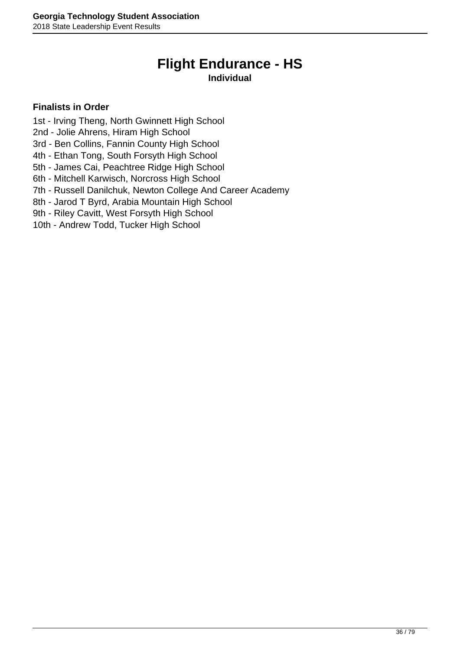## **Flight Endurance - HS**

### **Individual**

- <span id="page-35-0"></span>1st - Irving Theng, North Gwinnett High School
- 2nd Jolie Ahrens, Hiram High School
- 3rd Ben Collins, Fannin County High School
- 4th Ethan Tong, South Forsyth High School
- 5th James Cai, Peachtree Ridge High School
- 6th Mitchell Karwisch, Norcross High School
- 7th Russell Danilchuk, Newton College And Career Academy
- 8th Jarod T Byrd, Arabia Mountain High School
- 9th Riley Cavitt, West Forsyth High School
- 10th Andrew Todd, Tucker High School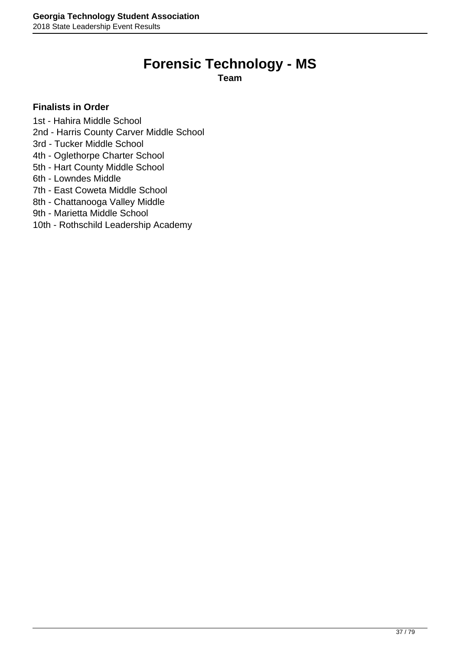### **Forensic Technology - MS**

**Team**

#### **Finalists in Order**

1st - Hahira Middle School

- 2nd Harris County Carver Middle School
- 3rd Tucker Middle School
- 4th Oglethorpe Charter School
- 5th Hart County Middle School
- 6th Lowndes Middle
- 7th East Coweta Middle School
- 8th Chattanooga Valley Middle
- 9th Marietta Middle School
- 10th Rothschild Leadership Academy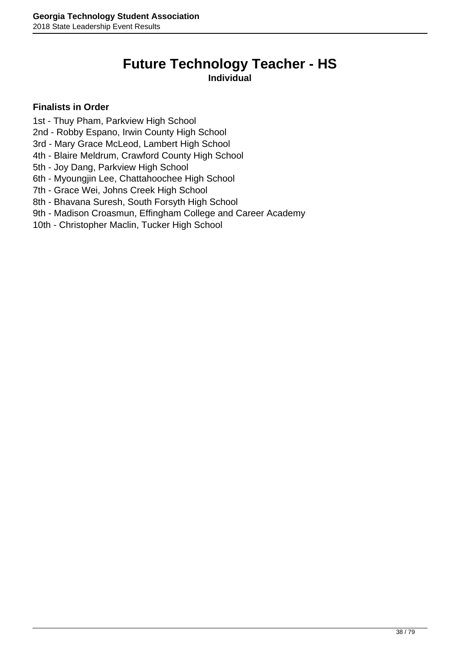# **Future Technology Teacher - HS**

**Individual**

- 1st Thuy Pham, Parkview High School
- 2nd Robby Espano, Irwin County High School
- 3rd Mary Grace McLeod, Lambert High School
- 4th Blaire Meldrum, Crawford County High School
- 5th Joy Dang, Parkview High School
- 6th Myoungjin Lee, Chattahoochee High School
- 7th Grace Wei, Johns Creek High School
- 8th Bhavana Suresh, South Forsyth High School
- 9th Madison Croasmun, Effingham College and Career Academy
- 10th Christopher Maclin, Tucker High School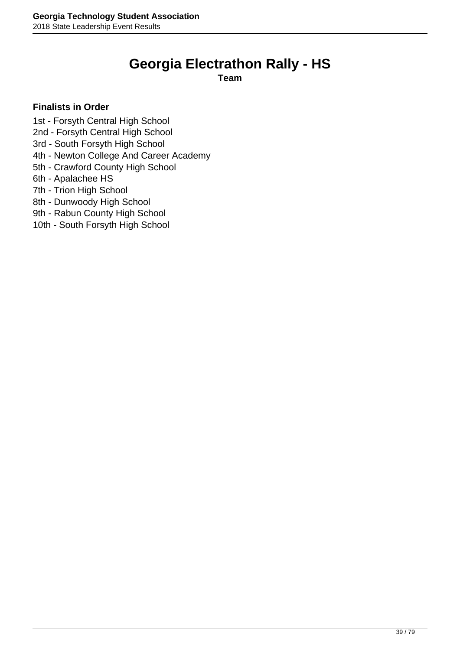### **Georgia Electrathon Rally - HS**

**Team**

- 1st Forsyth Central High School
- 2nd Forsyth Central High School
- 3rd South Forsyth High School
- 4th Newton College And Career Academy
- 5th Crawford County High School
- 6th Apalachee HS
- 7th Trion High School
- 8th Dunwoody High School
- 9th Rabun County High School
- 10th South Forsyth High School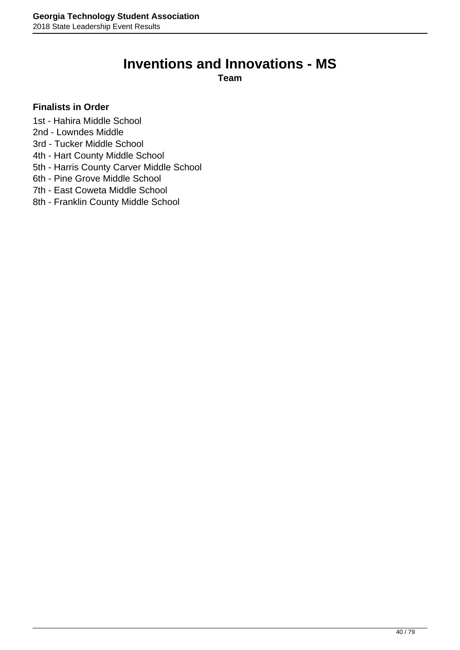### **Inventions and Innovations - MS**

**Team**

- 1st Hahira Middle School
- 2nd Lowndes Middle
- 3rd Tucker Middle School
- 4th Hart County Middle School
- 5th Harris County Carver Middle School
- 6th Pine Grove Middle School
- 7th East Coweta Middle School
- 8th Franklin County Middle School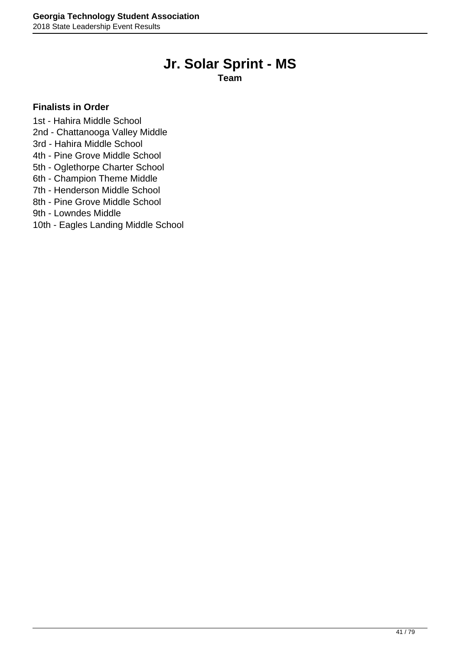### **Jr. Solar Sprint - MS**

**Team**

#### **Finalists in Order**

1st - Hahira Middle School

- 2nd Chattanooga Valley Middle
- 3rd Hahira Middle School
- 4th Pine Grove Middle School
- 5th Oglethorpe Charter School
- 6th Champion Theme Middle
- 7th Henderson Middle School
- 8th Pine Grove Middle School
- 9th Lowndes Middle
- 10th Eagles Landing Middle School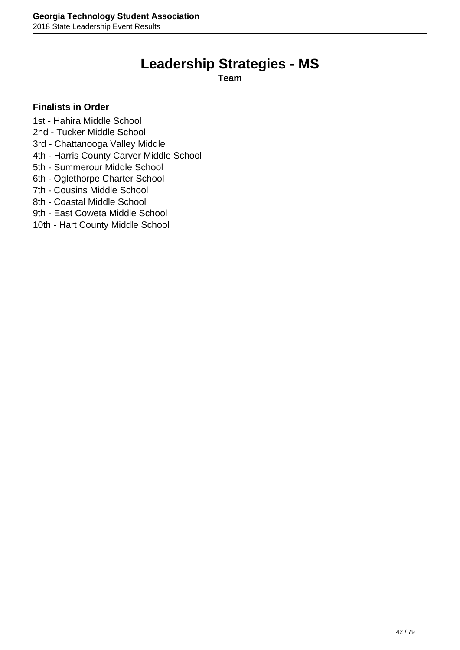### **Leadership Strategies - MS**

**Team**

#### **Finalists in Order**

1st - Hahira Middle School

- 2nd Tucker Middle School
- 3rd Chattanooga Valley Middle
- 4th Harris County Carver Middle School
- 5th Summerour Middle School
- 6th Oglethorpe Charter School
- 7th Cousins Middle School
- 8th Coastal Middle School
- 9th East Coweta Middle School
- 10th Hart County Middle School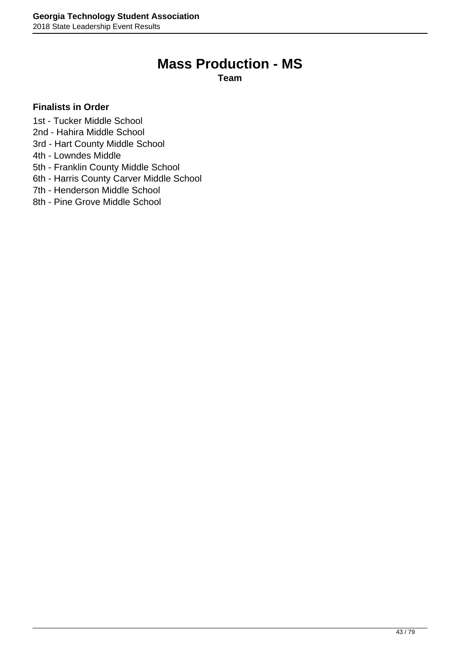### **Mass Production - MS**

**Team**

- 1st Tucker Middle School
- 2nd Hahira Middle School
- 3rd Hart County Middle School
- 4th Lowndes Middle
- 5th Franklin County Middle School
- 6th Harris County Carver Middle School
- 7th Henderson Middle School
- 8th Pine Grove Middle School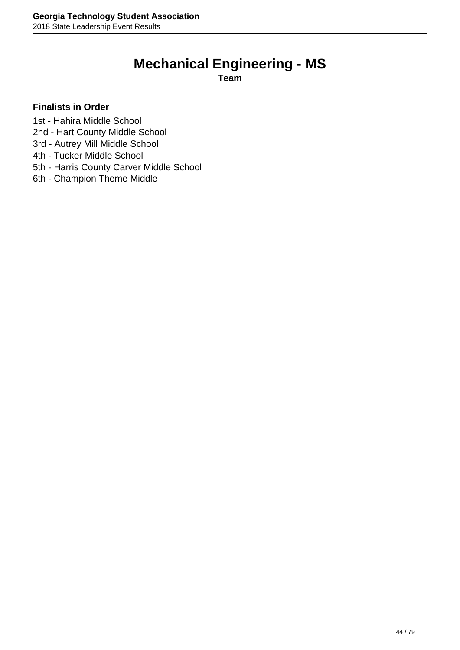# **Mechanical Engineering - MS**

**Team**

- 1st Hahira Middle School
- 2nd Hart County Middle School
- 3rd Autrey Mill Middle School
- 4th Tucker Middle School
- 5th Harris County Carver Middle School
- 6th Champion Theme Middle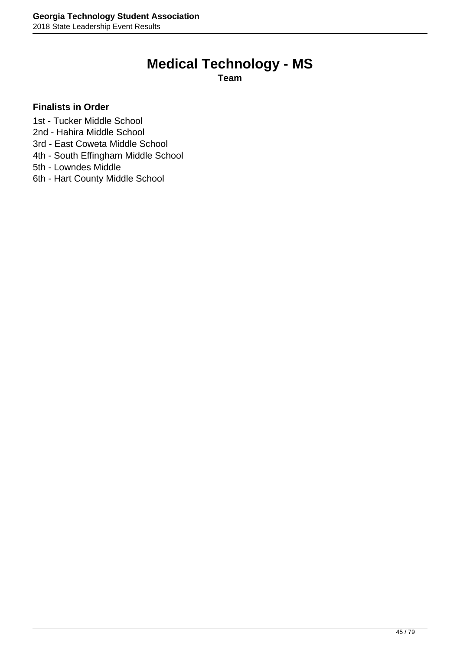### **Medical Technology - MS**

**Team**

- 1st Tucker Middle School
- 2nd Hahira Middle School
- 3rd East Coweta Middle School
- 4th South Effingham Middle School
- 5th Lowndes Middle
- 6th Hart County Middle School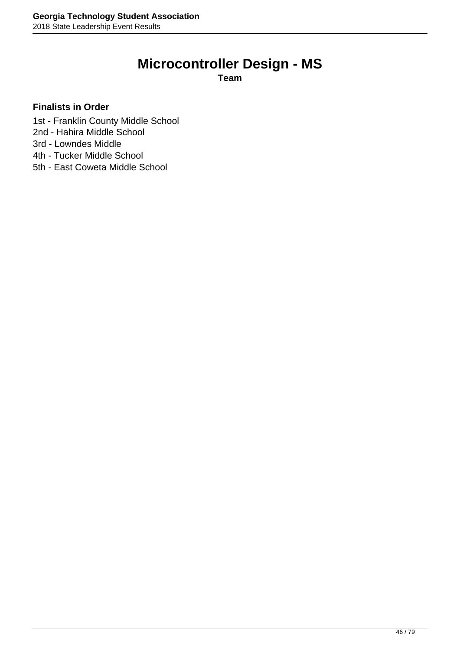## **Microcontroller Design - MS**

**Team**

- 1st Franklin County Middle School
- 2nd Hahira Middle School
- 3rd Lowndes Middle
- 4th Tucker Middle School
- 5th East Coweta Middle School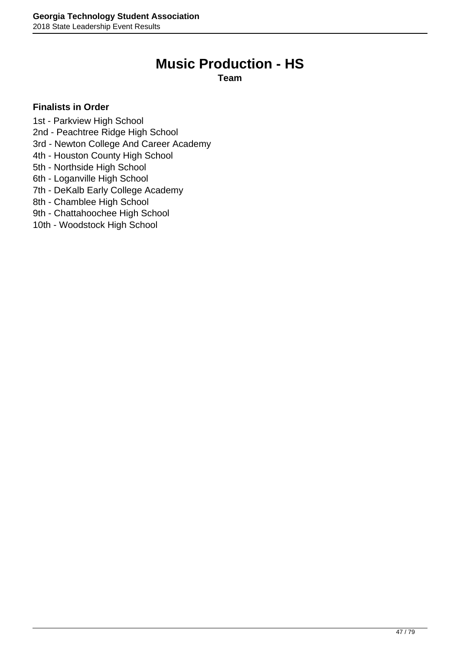### **Music Production - HS**

**Team**

- 1st Parkview High School
- 2nd Peachtree Ridge High School
- 3rd Newton College And Career Academy
- 4th Houston County High School
- 5th Northside High School
- 6th Loganville High School
- 7th DeKalb Early College Academy
- 8th Chamblee High School
- 9th Chattahoochee High School
- 10th Woodstock High School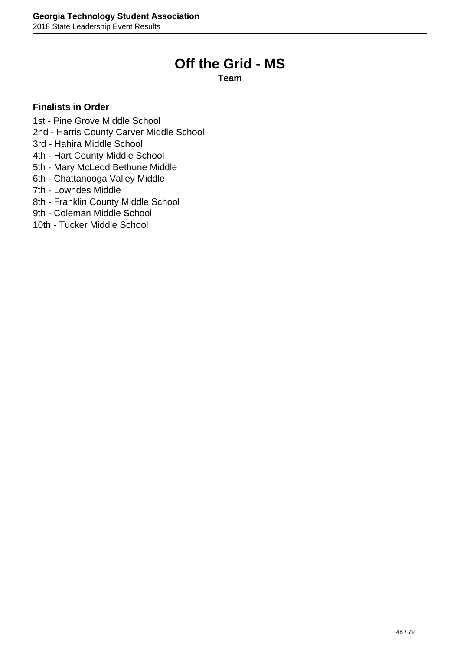### **Off the Grid - MS**

**Team**

- 1st Pine Grove Middle School
- 2nd Harris County Carver Middle School
- 3rd Hahira Middle School
- 4th Hart County Middle School
- 5th Mary McLeod Bethune Middle
- 6th Chattanooga Valley Middle
- 7th Lowndes Middle
- 8th Franklin County Middle School
- 9th Coleman Middle School
- 10th Tucker Middle School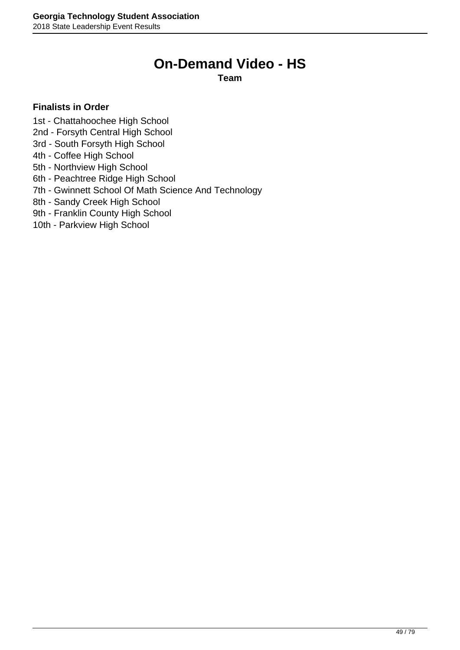### **On-Demand Video - HS**

**Team**

- 1st Chattahoochee High School
- 2nd Forsyth Central High School
- 3rd South Forsyth High School
- 4th Coffee High School
- 5th Northview High School
- 6th Peachtree Ridge High School
- 7th Gwinnett School Of Math Science And Technology
- 8th Sandy Creek High School
- 9th Franklin County High School
- 10th Parkview High School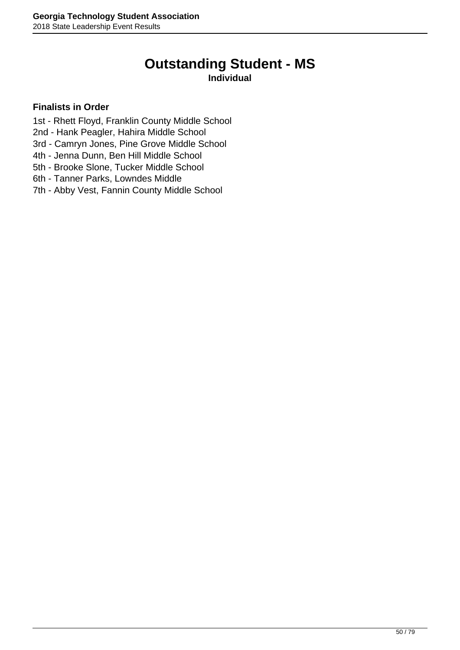### **Outstanding Student - MS**

#### **Individual**

- 1st Rhett Floyd, Franklin County Middle School
- 2nd Hank Peagler, Hahira Middle School
- 3rd Camryn Jones, Pine Grove Middle School
- 4th Jenna Dunn, Ben Hill Middle School
- 5th Brooke Slone, Tucker Middle School
- 6th Tanner Parks, Lowndes Middle
- 7th Abby Vest, Fannin County Middle School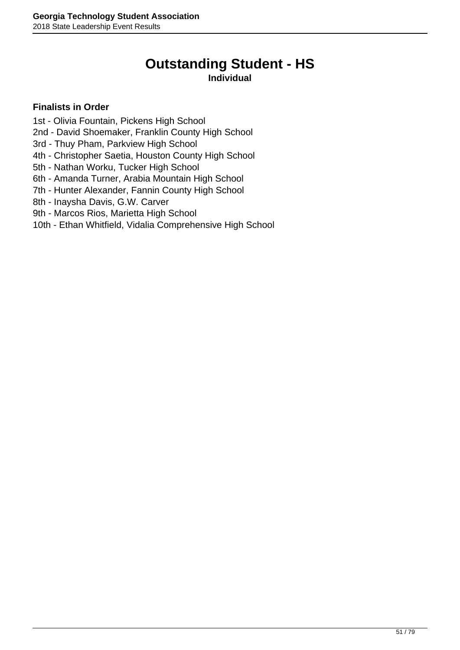# **Outstanding Student - HS**

#### **Individual**

- 1st Olivia Fountain, Pickens High School
- 2nd David Shoemaker, Franklin County High School
- 3rd Thuy Pham, Parkview High School
- 4th Christopher Saetia, Houston County High School
- 5th Nathan Worku, Tucker High School
- 6th Amanda Turner, Arabia Mountain High School
- 7th Hunter Alexander, Fannin County High School
- 8th Inaysha Davis, G.W. Carver
- 9th Marcos Rios, Marietta High School
- 10th Ethan Whitfield, Vidalia Comprehensive High School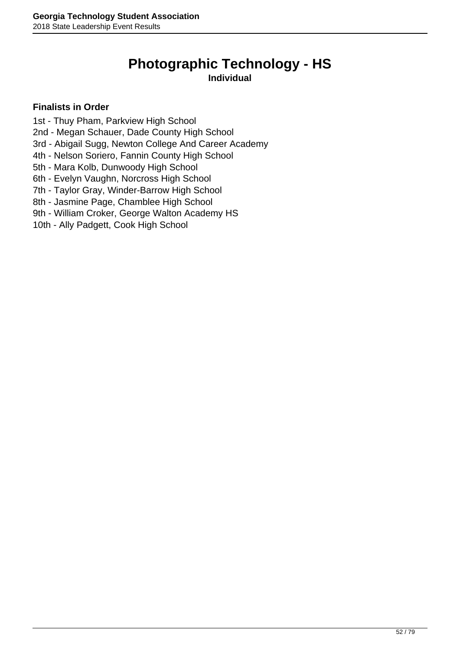# **Photographic Technology - HS**

**Individual**

- 1st Thuy Pham, Parkview High School
- 2nd Megan Schauer, Dade County High School
- 3rd Abigail Sugg, Newton College And Career Academy
- 4th Nelson Soriero, Fannin County High School
- 5th Mara Kolb, Dunwoody High School
- 6th Evelyn Vaughn, Norcross High School
- 7th Taylor Gray, Winder-Barrow High School
- 8th Jasmine Page, Chamblee High School
- 9th William Croker, George Walton Academy HS
- 10th Ally Padgett, Cook High School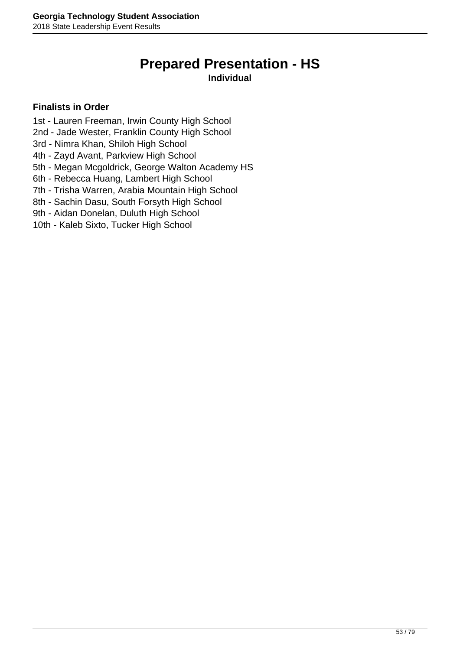### **Prepared Presentation - HS**

#### **Individual**

- 1st Lauren Freeman, Irwin County High School
- 2nd Jade Wester, Franklin County High School
- 3rd Nimra Khan, Shiloh High School
- 4th Zayd Avant, Parkview High School
- 5th Megan Mcgoldrick, George Walton Academy HS
- 6th Rebecca Huang, Lambert High School
- 7th Trisha Warren, Arabia Mountain High School
- 8th Sachin Dasu, South Forsyth High School
- 9th Aidan Donelan, Duluth High School
- 10th Kaleb Sixto, Tucker High School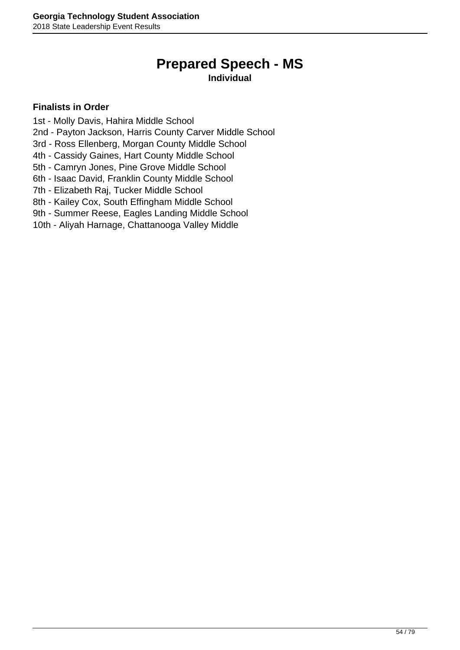# **Prepared Speech - MS**

**Individual**

- 1st Molly Davis, Hahira Middle School
- 2nd Payton Jackson, Harris County Carver Middle School
- 3rd Ross Ellenberg, Morgan County Middle School
- 4th Cassidy Gaines, Hart County Middle School
- 5th Camryn Jones, Pine Grove Middle School
- 6th Isaac David, Franklin County Middle School
- 7th Elizabeth Raj, Tucker Middle School
- 8th Kailey Cox, South Effingham Middle School
- 9th Summer Reese, Eagles Landing Middle School
- 10th Aliyah Harnage, Chattanooga Valley Middle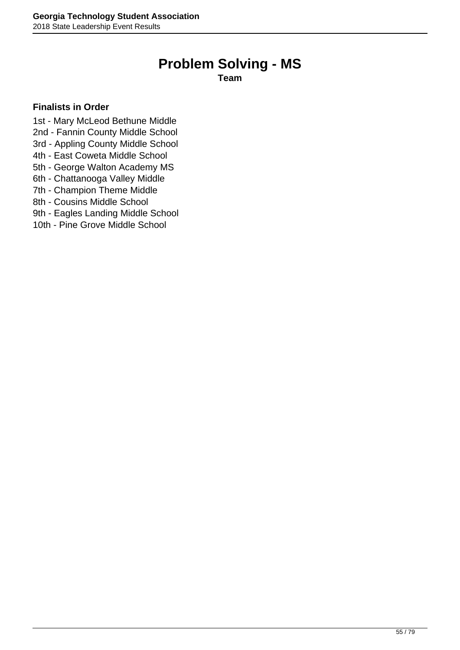### **Problem Solving - MS**

**Team**

- 1st Mary McLeod Bethune Middle
- 2nd Fannin County Middle School
- 3rd Appling County Middle School
- 4th East Coweta Middle School
- 5th George Walton Academy MS
- 6th Chattanooga Valley Middle
- 7th Champion Theme Middle
- 8th Cousins Middle School
- 9th Eagles Landing Middle School
- 10th Pine Grove Middle School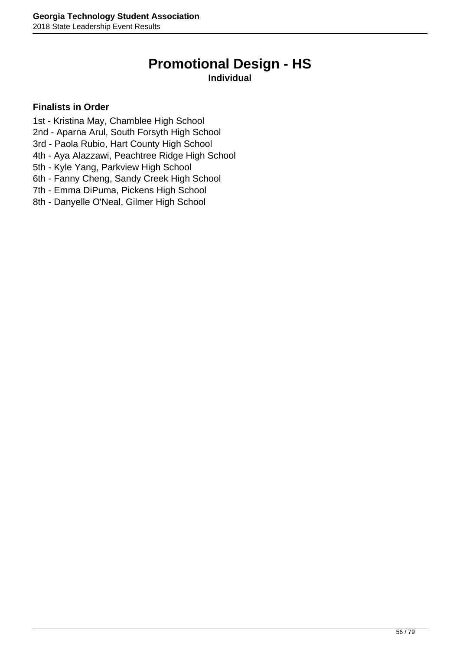### **Promotional Design - HS**

#### **Individual**

- 1st Kristina May, Chamblee High School
- 2nd Aparna Arul, South Forsyth High School
- 3rd Paola Rubio, Hart County High School
- 4th Aya Alazzawi, Peachtree Ridge High School
- 5th Kyle Yang, Parkview High School
- 6th Fanny Cheng, Sandy Creek High School
- 7th Emma DiPuma, Pickens High School
- 8th Danyelle O'Neal, Gilmer High School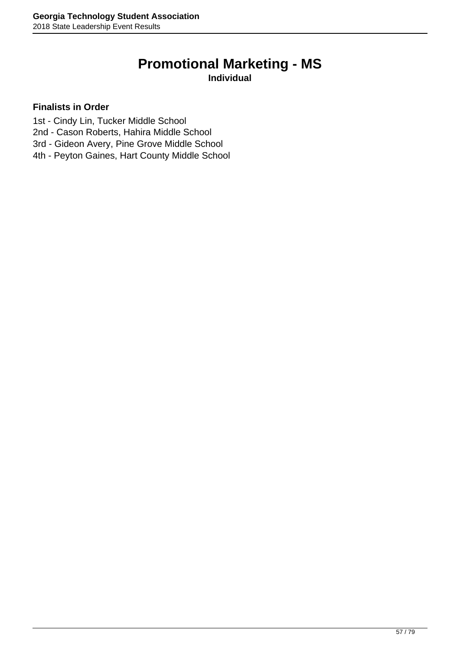### **Promotional Marketing - MS**

**Individual**

- 1st Cindy Lin, Tucker Middle School
- 2nd Cason Roberts, Hahira Middle School
- 3rd Gideon Avery, Pine Grove Middle School
- 4th Peyton Gaines, Hart County Middle School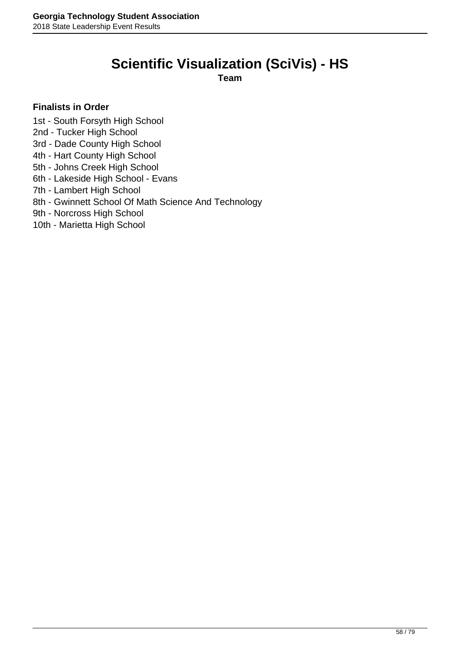### **Scientific Visualization (SciVis) - HS**

**Team**

#### **Finalists in Order**

1st - South Forsyth High School

- 2nd Tucker High School
- 3rd Dade County High School
- 4th Hart County High School
- 5th Johns Creek High School
- 6th Lakeside High School Evans
- 7th Lambert High School
- 8th Gwinnett School Of Math Science And Technology
- 9th Norcross High School
- 10th Marietta High School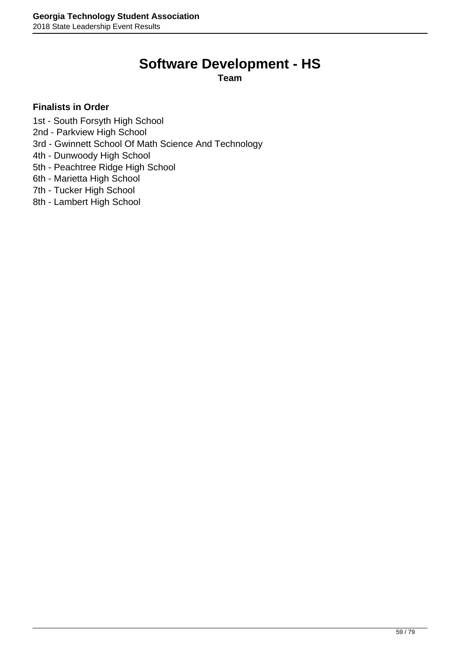### **Software Development - HS**

**Team**

- 1st South Forsyth High School
- 2nd Parkview High School
- 3rd Gwinnett School Of Math Science And Technology
- 4th Dunwoody High School
- 5th Peachtree Ridge High School
- 6th Marietta High School
- 7th Tucker High School
- 8th Lambert High School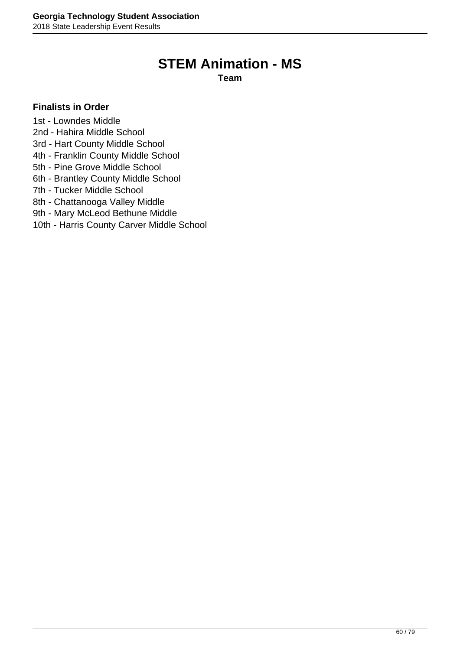### **STEM Animation - MS**

**Team**

#### **Finalists in Order**

1st - Lowndes Middle

- 2nd Hahira Middle School
- 3rd Hart County Middle School
- 4th Franklin County Middle School
- 5th Pine Grove Middle School
- 6th Brantley County Middle School
- 7th Tucker Middle School
- 8th Chattanooga Valley Middle
- 9th Mary McLeod Bethune Middle
- 10th Harris County Carver Middle School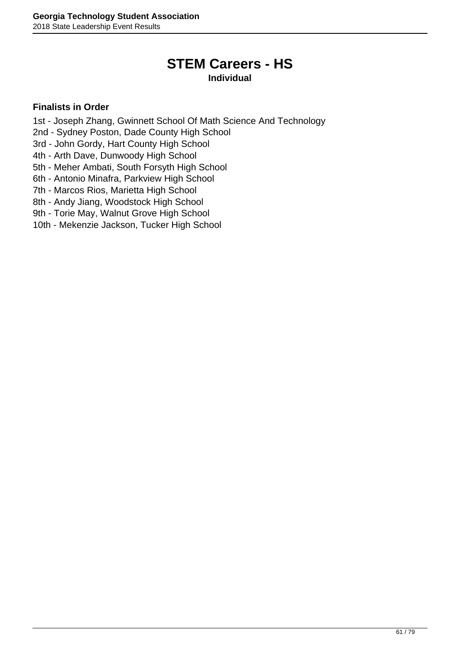### **STEM Careers - HS**

#### **Individual**

- 1st Joseph Zhang, Gwinnett School Of Math Science And Technology
- 2nd Sydney Poston, Dade County High School
- 3rd John Gordy, Hart County High School
- 4th Arth Dave, Dunwoody High School
- 5th Meher Ambati, South Forsyth High School
- 6th Antonio Minafra, Parkview High School
- 7th Marcos Rios, Marietta High School
- 8th Andy Jiang, Woodstock High School
- 9th Torie May, Walnut Grove High School
- 10th Mekenzie Jackson, Tucker High School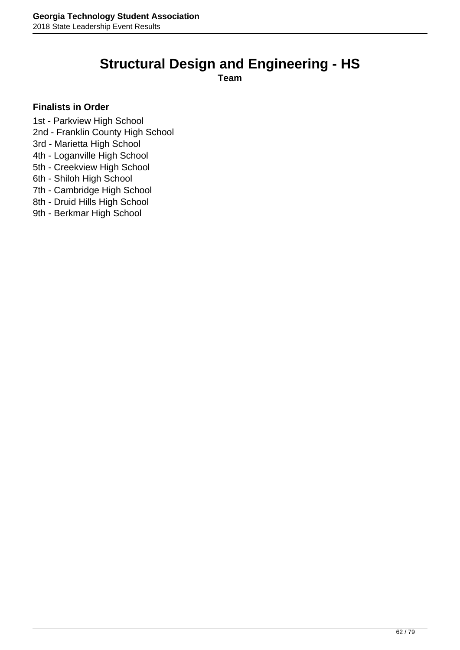### **Structural Design and Engineering - HS**

**Team**

- 1st Parkview High School
- 2nd Franklin County High School
- 3rd Marietta High School
- 4th Loganville High School
- 5th Creekview High School
- 6th Shiloh High School
- 7th Cambridge High School
- 8th Druid Hills High School
- 9th Berkmar High School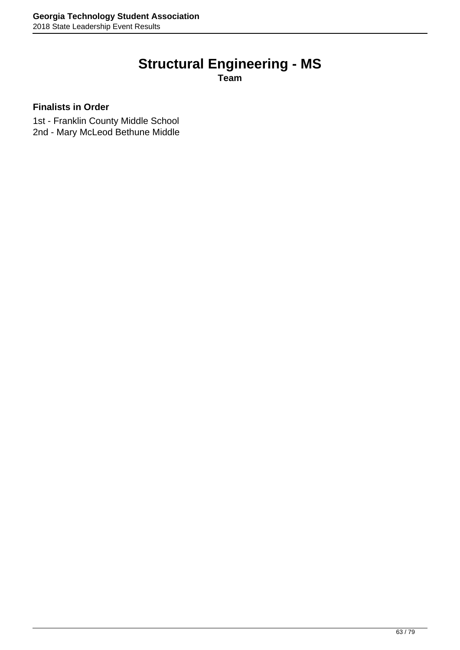# **Structural Engineering - MS**

**Team**

#### **Finalists in Order**

1st - Franklin County Middle School 2nd - Mary McLeod Bethune Middle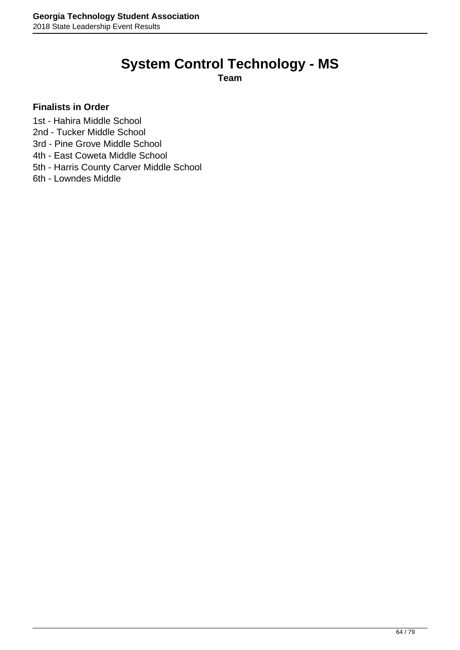# **System Control Technology - MS**

**Team**

- 1st Hahira Middle School
- 2nd Tucker Middle School
- 3rd Pine Grove Middle School
- 4th East Coweta Middle School
- 5th Harris County Carver Middle School
- 6th Lowndes Middle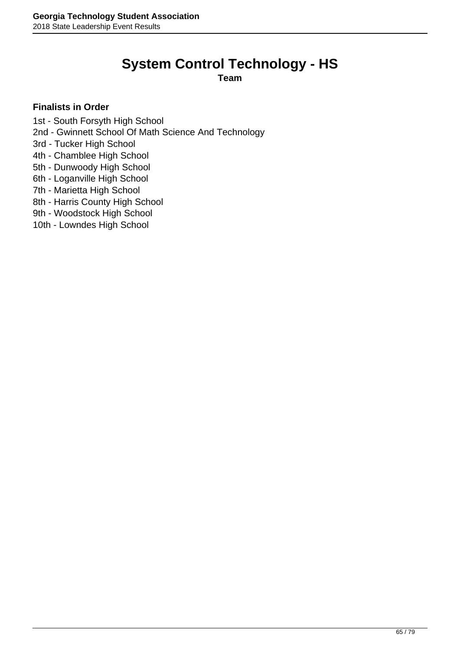# **System Control Technology - HS**

**Team**

- 1st South Forsyth High School
- 2nd Gwinnett School Of Math Science And Technology
- 3rd Tucker High School
- 4th Chamblee High School
- 5th Dunwoody High School
- 6th Loganville High School
- 7th Marietta High School
- 8th Harris County High School
- 9th Woodstock High School
- 10th Lowndes High School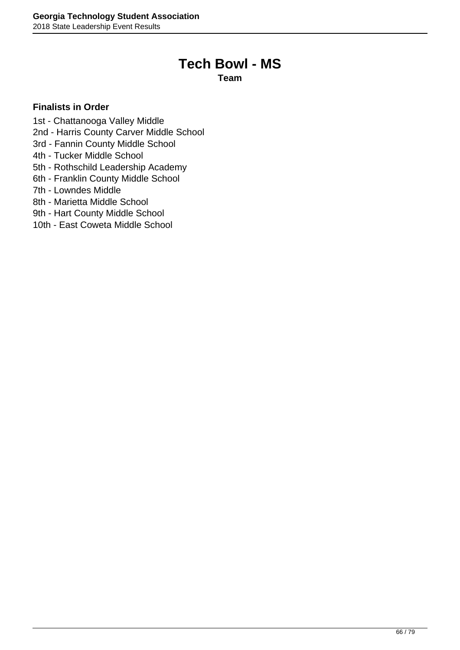### **Tech Bowl - MS**

**Team**

- 1st Chattanooga Valley Middle
- 2nd Harris County Carver Middle School
- 3rd Fannin County Middle School
- 4th Tucker Middle School
- 5th Rothschild Leadership Academy
- 6th Franklin County Middle School
- 7th Lowndes Middle
- 8th Marietta Middle School
- 9th Hart County Middle School
- 10th East Coweta Middle School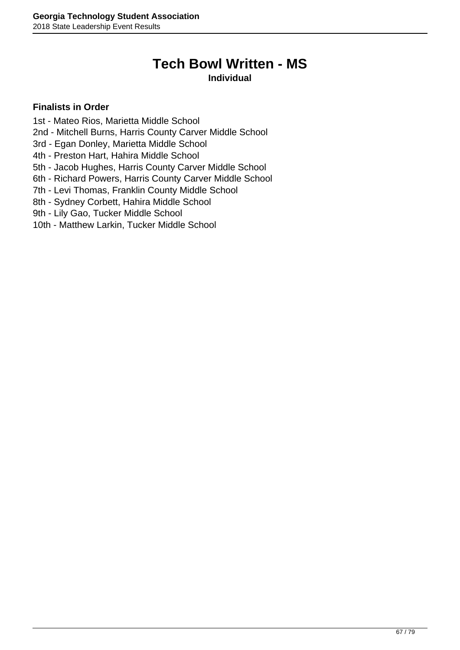# **Tech Bowl Written - MS**

#### **Individual**

- 1st Mateo Rios, Marietta Middle School
- 2nd Mitchell Burns, Harris County Carver Middle School
- 3rd Egan Donley, Marietta Middle School
- 4th Preston Hart, Hahira Middle School
- 5th Jacob Hughes, Harris County Carver Middle School
- 6th Richard Powers, Harris County Carver Middle School
- 7th Levi Thomas, Franklin County Middle School
- 8th Sydney Corbett, Hahira Middle School
- 9th Lily Gao, Tucker Middle School
- 10th Matthew Larkin, Tucker Middle School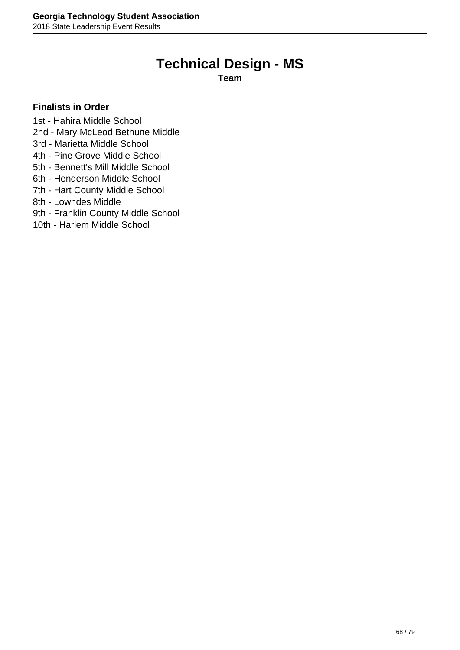### **Technical Design - MS**

**Team**

- 1st Hahira Middle School
- 2nd Mary McLeod Bethune Middle
- 3rd Marietta Middle School
- 4th Pine Grove Middle School
- 5th Bennett's Mill Middle School
- 6th Henderson Middle School
- 7th Hart County Middle School
- 8th Lowndes Middle
- 9th Franklin County Middle School
- 10th Harlem Middle School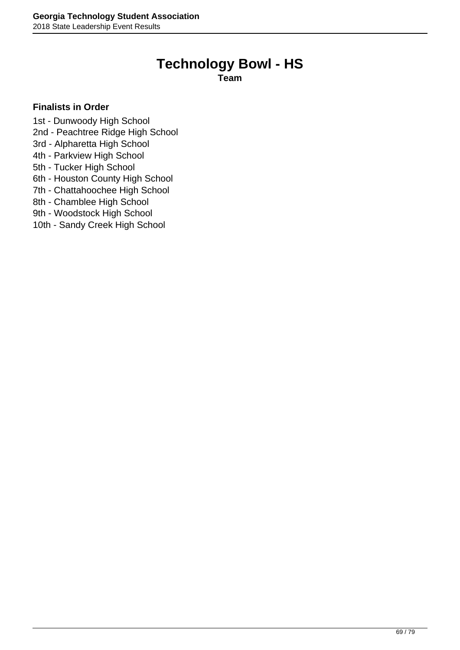### **Technology Bowl - HS**

**Team**

- 1st Dunwoody High School
- 2nd Peachtree Ridge High School
- 3rd Alpharetta High School
- 4th Parkview High School
- 5th Tucker High School
- 6th Houston County High School
- 7th Chattahoochee High School
- 8th Chamblee High School
- 9th Woodstock High School
- 10th Sandy Creek High School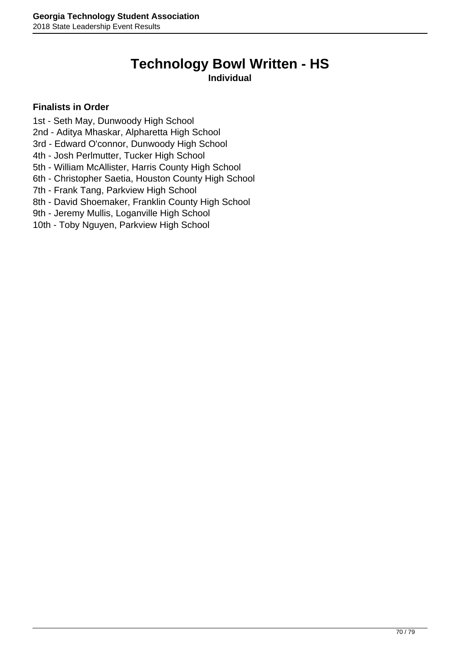### **Technology Bowl Written - HS**

#### **Individual**

- 1st Seth May, Dunwoody High School
- 2nd Aditya Mhaskar, Alpharetta High School
- 3rd Edward O'connor, Dunwoody High School
- 4th Josh Perlmutter, Tucker High School
- 5th William McAllister, Harris County High School
- 6th Christopher Saetia, Houston County High School
- 7th Frank Tang, Parkview High School
- 8th David Shoemaker, Franklin County High School
- 9th Jeremy Mullis, Loganville High School
- 10th Toby Nguyen, Parkview High School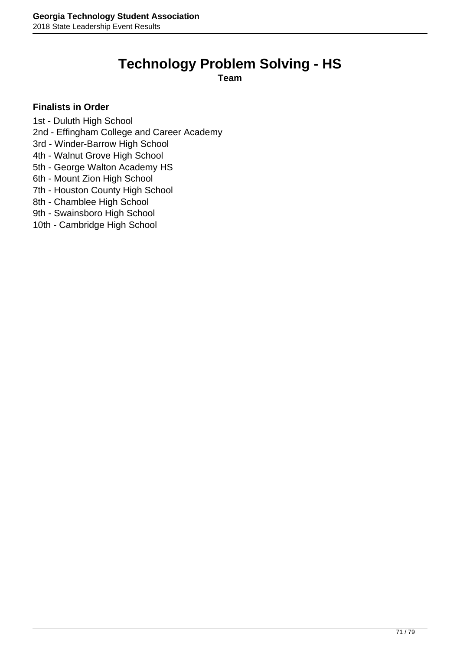### **Technology Problem Solving - HS**

**Team**

#### **Finalists in Order**

1st - Duluth High School

2nd - Effingham College and Career Academy

3rd - Winder-Barrow High School

4th - Walnut Grove High School

5th - George Walton Academy HS

6th - Mount Zion High School

7th - Houston County High School

8th - Chamblee High School

9th - Swainsboro High School

10th - Cambridge High School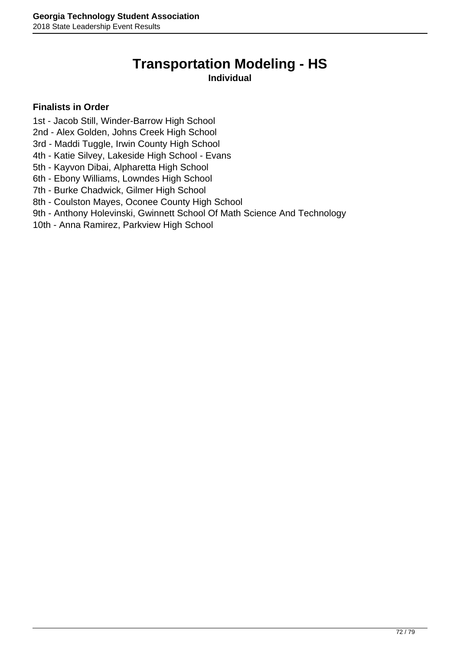### **Transportation Modeling - HS**

#### **Individual**

- 1st Jacob Still, Winder-Barrow High School
- 2nd Alex Golden, Johns Creek High School
- 3rd Maddi Tuggle, Irwin County High School
- 4th Katie Silvey, Lakeside High School Evans
- 5th Kayvon Dibai, Alpharetta High School
- 6th Ebony Williams, Lowndes High School
- 7th Burke Chadwick, Gilmer High School
- 8th Coulston Mayes, Oconee County High School
- 9th Anthony Holevinski, Gwinnett School Of Math Science And Technology
- 10th Anna Ramirez, Parkview High School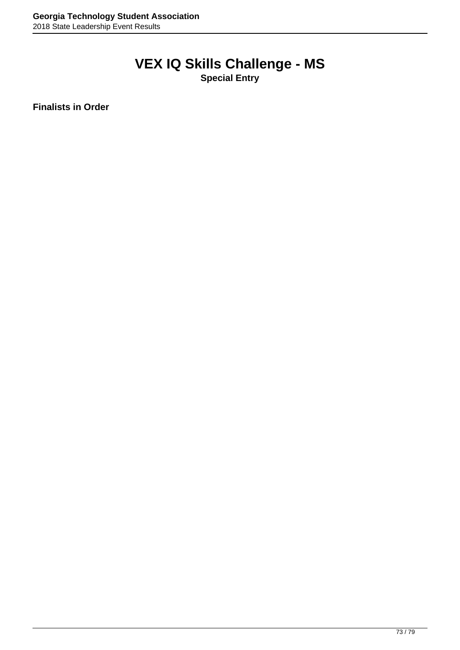# **VEX IQ Skills Challenge - MS**

**Special Entry**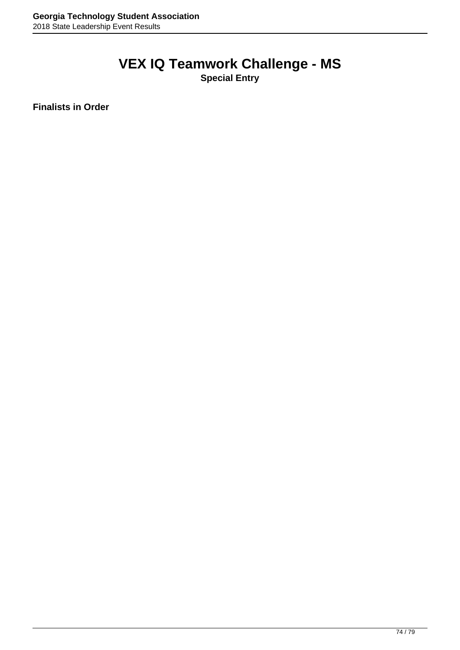### **VEX IQ Teamwork Challenge - MS**

**Special Entry**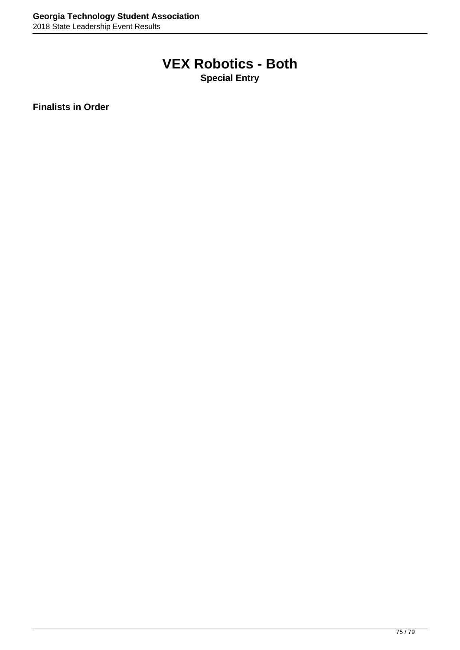## **VEX Robotics - Both**

**Special Entry**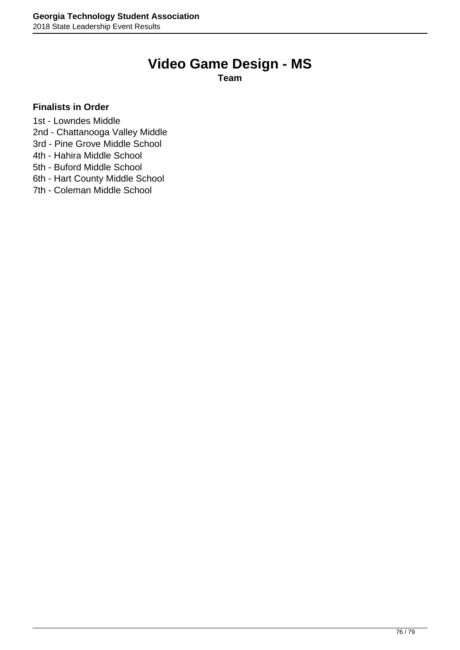### **Video Game Design - MS**

**Team**

- 1st Lowndes Middle
- 2nd Chattanooga Valley Middle
- 3rd Pine Grove Middle School
- 4th Hahira Middle School
- 5th Buford Middle School
- 6th Hart County Middle School
- 7th Coleman Middle School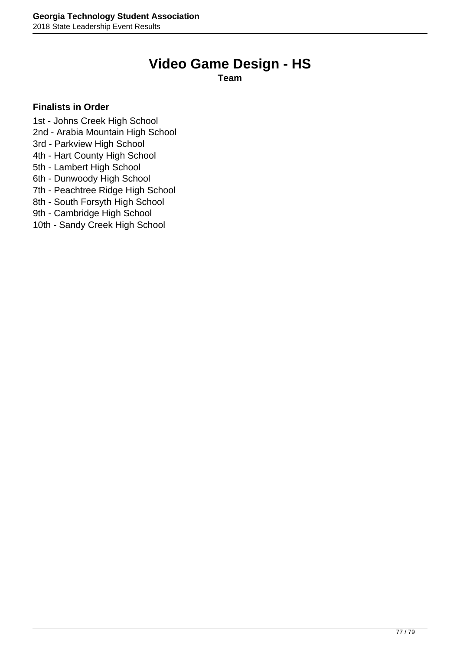## **Video Game Design - HS**

**Team**

- 1st Johns Creek High School
- 2nd Arabia Mountain High School
- 3rd Parkview High School
- 4th Hart County High School
- 5th Lambert High School
- 6th Dunwoody High School
- 7th Peachtree Ridge High School
- 8th South Forsyth High School
- 9th Cambridge High School
- 10th Sandy Creek High School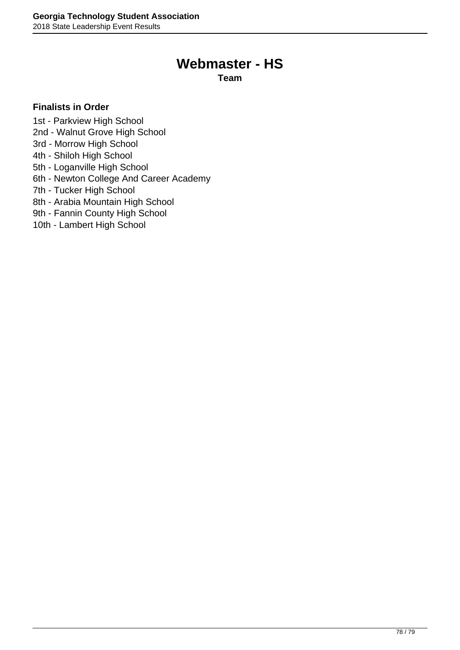### **Webmaster - HS**

**Team**

- 1st Parkview High School
- 2nd Walnut Grove High School
- 3rd Morrow High School
- 4th Shiloh High School
- 5th Loganville High School
- 6th Newton College And Career Academy
- 7th Tucker High School
- 8th Arabia Mountain High School
- 9th Fannin County High School
- 10th Lambert High School